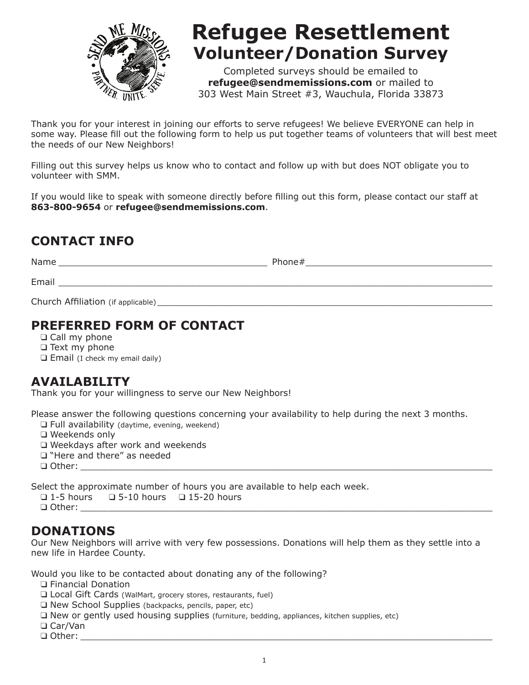

# **Refugee Resettlement Volunteer/Donation Survey**

Completed surveys should be emailed to **refugee@sendmemissions.com** or mailed to 303 West Main Street #3, Wauchula, Florida 33873

Thank you for your interest in joining our efforts to serve refugees! We believe EVERYONE can help in some way. Please fill out the following form to help us put together teams of volunteers that will best meet the needs of our New Neighbors!

Filling out this survey helps us know who to contact and follow up with but does NOT obligate you to volunteer with SMM.

If you would like to speak with someone directly before filling out this form, please contact our staff at **863-800-9654** or **refugee@sendmemissions.com**.

## **CONTACT INFO**

Name  $\blacksquare$  $Email$   $\_$ Church Affiliation (if applicable)

## **PREFERRED FORM OF CONTACT**

❑ Call my phone

❑ Text my phone

❑ Email (I check my email daily)

## **AVAILABILITY**

Thank you for your willingness to serve our New Neighbors!

Please answer the following questions concerning your availability to help during the next 3 months.

❑ Full availability (daytime, evening, weekend)

❑ Weekends only

❑ Weekdays after work and weekends

❑ "Here and there" as needed

❑ Other: \_\_\_\_\_\_\_\_\_\_\_\_\_\_\_\_\_\_\_\_\_\_\_\_\_\_\_\_\_\_\_\_\_\_\_\_\_\_\_\_\_\_\_\_\_\_\_\_\_\_\_\_\_\_\_\_\_\_\_\_\_\_\_\_\_\_\_\_\_\_\_\_\_\_\_

Select the approximate number of hours you are available to help each week.

❑ 1-5 hours ❑ 5-10 hours ❑ 15-20 hours

 $\Box$  Other:

#### **DONATIONS**

Our New Neighbors will arrive with very few possessions. Donations will help them as they settle into a new life in Hardee County.

Would you like to be contacted about donating any of the following?

❑ Financial Donation

- ❑ Local Gift Cards (WalMart, grocery stores, restaurants, fuel)
- ❑ New School Supplies (backpacks, pencils, paper, etc)
- ❑ New or gently used housing supplies (furniture, bedding, appliances, kitchen supplies, etc)
- ❑ Car/Van

 $\Box$  Other: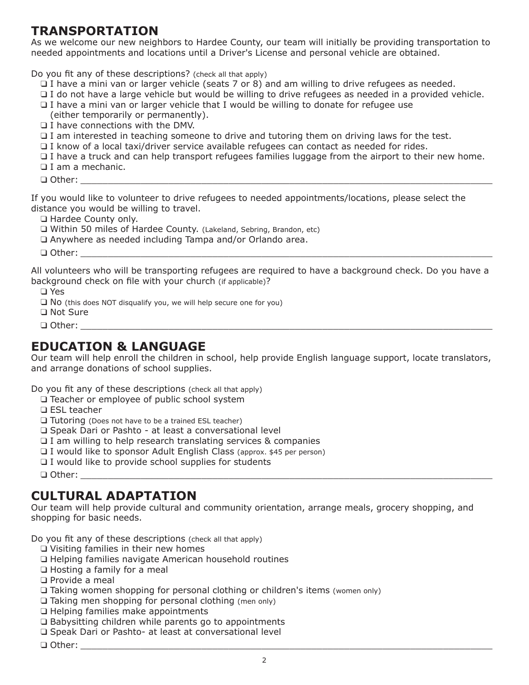#### **TRANSPORTATION**

As we welcome our new neighbors to Hardee County, our team will initially be providing transportation to needed appointments and locations until a Driver's License and personal vehicle are obtained.

Do you fit any of these descriptions? (check all that apply)

- ❑ I have a mini van or larger vehicle (seats 7 or 8) and am willing to drive refugees as needed.
- ❑ I do not have a large vehicle but would be willing to drive refugees as needed in a provided vehicle.
- ❑ I have a mini van or larger vehicle that I would be willing to donate for refugee use
- (either temporarily or permanently).
- ❑ I have connections with the DMV.
- ❑ I am interested in teaching someone to drive and tutoring them on driving laws for the test.

❑ I know of a local taxi/driver service available refugees can contact as needed for rides.

- ❑ I have a truck and can help transport refugees families luggage from the airport to their new home.
- ❑ I am a mechanic.

❑ Other: \_\_\_\_\_\_\_\_\_\_\_\_\_\_\_\_\_\_\_\_\_\_\_\_\_\_\_\_\_\_\_\_\_\_\_\_\_\_\_\_\_\_\_\_\_\_\_\_\_\_\_\_\_\_\_\_\_\_\_\_\_\_\_\_\_\_\_\_\_\_\_\_\_\_\_

If you would like to volunteer to drive refugees to needed appointments/locations, please select the distance you would be willing to travel.

❑ Hardee County only.

❑ Within 50 miles of Hardee County. (Lakeland, Sebring, Brandon, etc)

❑ Anywhere as needed including Tampa and/or Orlando area.

 ❑ Other: \_\_\_\_\_\_\_\_\_\_\_\_\_\_\_\_\_\_\_\_\_\_\_\_\_\_\_\_\_\_\_\_\_\_\_\_\_\_\_\_\_\_\_\_\_\_\_\_\_\_\_\_\_\_\_\_\_\_\_\_\_\_\_\_\_\_\_\_\_\_\_\_\_\_\_

All volunteers who will be transporting refugees are required to have a background check. Do you have a background check on file with your church (if applicable)?

❑ Yes

❑ No (this does NOT disqualify you, we will help secure one for you)

❑ Not Sure

 $\Box$  Other:

#### **EDUCATION & LANGUAGE**

Our team will help enroll the children in school, help provide English language support, locate translators, and arrange donations of school supplies.

Do you fit any of these descriptions (check all that apply)

❑ Teacher or employee of public school system

❑ ESL teacher

❑ Tutoring (Does not have to be a trained ESL teacher)

❑ Speak Dari or Pashto - at least a conversational level

❑ I am willing to help research translating services & companies

- ❑ I would like to sponsor Adult English Class (approx. \$45 per person)
- ❑ I would like to provide school supplies for students
- ❑ Other: \_\_\_\_\_\_\_\_\_\_\_\_\_\_\_\_\_\_\_\_\_\_\_\_\_\_\_\_\_\_\_\_\_\_\_\_\_\_\_\_\_\_\_\_\_\_\_\_\_\_\_\_\_\_\_\_\_\_\_\_\_\_\_\_\_\_\_\_\_\_\_\_\_\_\_

#### **CULTURAL ADAPTATION**

Our team will help provide cultural and community orientation, arrange meals, grocery shopping, and shopping for basic needs.

Do you fit any of these descriptions (check all that apply)

- ❑ Visiting families in their new homes
- ❑ Helping families navigate American household routines
- ❑ Hosting a family for a meal

❑ Provide a meal

- ❑ Taking women shopping for personal clothing or children's items (women only)
- ❑ Taking men shopping for personal clothing (men only)
- ❑ Helping families make appointments
- ❑ Babysitting children while parents go to appointments
- ❑ Speak Dari or Pashto- at least at conversational level
- ❑ Other: \_\_\_\_\_\_\_\_\_\_\_\_\_\_\_\_\_\_\_\_\_\_\_\_\_\_\_\_\_\_\_\_\_\_\_\_\_\_\_\_\_\_\_\_\_\_\_\_\_\_\_\_\_\_\_\_\_\_\_\_\_\_\_\_\_\_\_\_\_\_\_\_\_\_\_